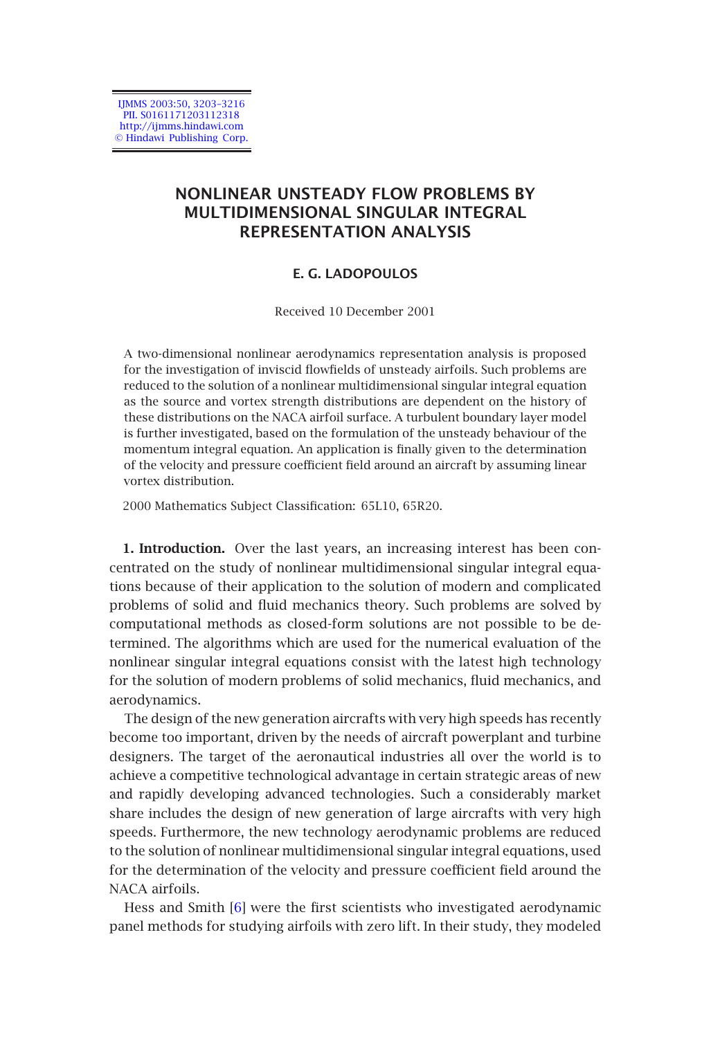IJMMS 2003:50, 3203–3216 PII. S0161171203112318 http://ijmms.hindawi.com © Hindawi Publishing Corp.

# **NONLINEAR UNSTEADY FLOW PROBLEMS BY MULTIDIMENSIONAL SINGULAR INTEGRAL REPRESENTATION ANALYSIS**

## **E. G. LADOPOULOS**

Received 10 December 2001

A two-dimensional nonlinear aerodynamics representation analysis is proposed for the investigation of inviscid flowfields of unsteady airfoils. Such problems are reduced to the solution of a nonlinear multidimensional singular integral equation as the source and vortex strength distributions are dependent on the history of these distributions on the NACA airfoil surface. A turbulent boundary layer model is further investigated, based on the formulation of the unsteady behaviour of the momentum integral equation. An application is finally given to the determination of the velocity and pressure coefficient field around an aircraft by assuming linear vortex distribution.

2000 Mathematics Subject Classification: 65L10, 65R20.

**1. Introduction.** Over the last years, an increasing interest has been concentrated on the study of nonlinear multidimensional singular integral equations because of their application to the solution of modern and complicated problems of solid and fluid mechanics theory. Such problems are solved by computational methods as closed-form solutions are not possible to be determined. The algorithms which are used for the numerical evaluation of the nonlinear singular integral equations consist with the latest high technology for the solution of modern problems of solid mechanics, fluid mechanics, and aerodynamics.

The design of the new generation aircrafts with very high speeds has recently become too import[an](#page-13-0)t, driven by the needs of aircraft powerplant and turbine designers. The target of the aeronautical industries all over the world is to achieve a competitive technological advantage in certain strategic areas of new and rapidly developing advanced technologies. Such a considerably market share includes the design of new generation of large aircrafts with very high speeds. Furthermore, the new technology aerodynamic problems are reduced to the solution of nonlinear multidimensional singular integral equations, used for the determination of the velocity and pressure coefficient field around the NACA airfoils.

Hess and Smith [6] were the first scientists who investigated aerodynamic panel methods for studying airfoils with zero lift. In their study, they modeled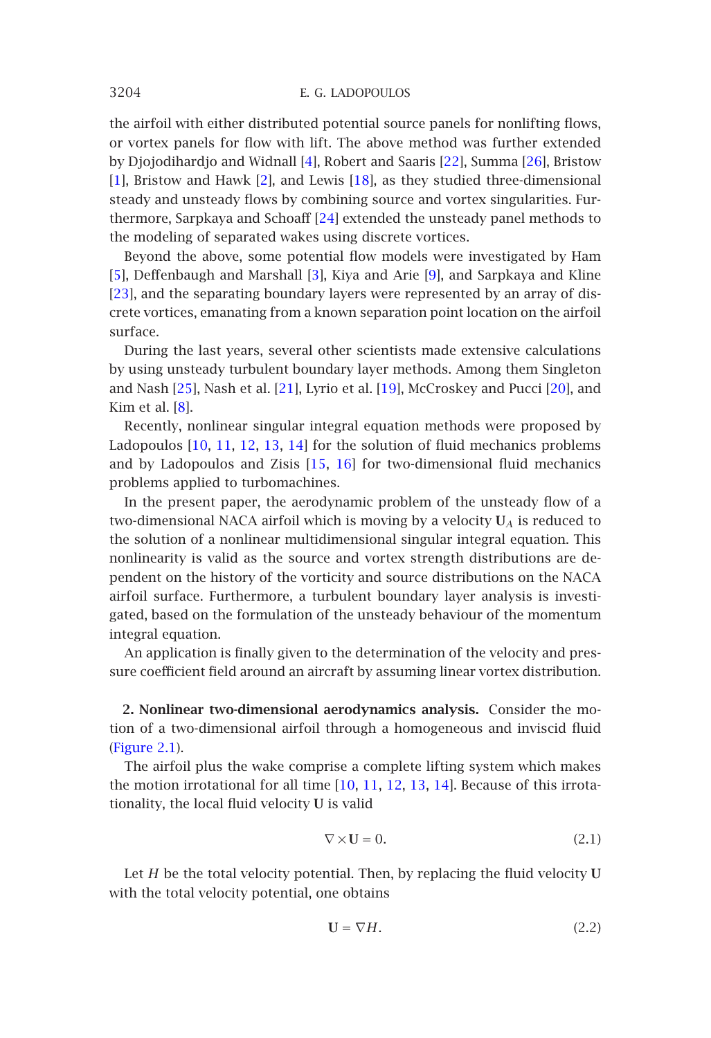[the](#page-13-2) airfoil with either distribut[ed](#page-12-1) potential source [p](#page-13-1)anels for nonlifting flows, or vortex panels for flow with lift. The above method was further extended by Djojodihardjo and Widnall [4], Robert and Saaris [22], Summa [26], Bristow [1], Bristow and Hawk [2], and Lewis [18], as they studied three-dimensional steady and unsteady flows by combining source and vortex singularities. Furthermore, [Sar](#page-13-3)pkaya and S[choa](#page-13-4)ff [24] exten[ded](#page-13-5) the unsteady panel m[etho](#page-13-6)ds to the model[ing](#page-13-7) of separated wakes using discrete vortices.

Beyond the above, some potential flow models were investigated by Ham [5], Deffenb[augh](#page-13-8) [an](#page-13-9)[d M](#page-13-10)[arsh](#page-13-11)[all](#page-13-12) [3], Kiya and Arie [9], and Sarpkaya and Kline [23], and the separating bound[ary](#page-13-13) l[aye](#page-13-14)rs were represented by an array of discrete vortices, emanating from a known separation point location on the airfoil surface.

During the last years, several other scientists made extensive calculations by using unsteady turbulent boundary layer methods. Among them Singleton and Nash [25], Nash et al. [21], Lyrio et al. [19], McCroskey and Pucci [20], and Kim et al.  $[8]$ .

Recently, nonlinear singular integral equation methods were proposed by Ladopoulos [10, 11, 12, 13, 14] for the solution of fluid mechanics problems and by Ladopoulos and Zisis [15, 16] for two-dimensional fluid mechanics problems applied to turbomachines.

In the present paper, the aerodynamic problem of the unsteady flow of a two-dimensional NACA airfoil which is moving by a velocity **U***<sup>A</sup>* is reduced to the solution of a nonlinear multidimensional singular integral equation. This nonlinearity is valid as the source and vortex strength distributions are de[pendent on](#page-2-0) the history of the vorticity and source distributions on the NACA airfoil surface. Furthermore, a turbulent boundary layer analysis is investigated, based on the formulation of [the](#page-13-8) [uns](#page-13-9)[tead](#page-13-10)[y b](#page-13-11)[ehav](#page-13-12)iour of the momentum integral equation.

An application is finally given to the determination of the velocity and pressure coefficient field around an aircraft by assuming linear vortex distribution.

**2. Nonlinear two-dimensional aerodynamics analysis.** Consider the motion of a two-dimensional airfoil through a homogeneous and inviscid fluid (Figure 2.1).

The airfoil plus the wake comprise a complete lifting system which makes the motion irrotational for all time [10, 11, 12, 13, 14]. Because of this irrotationality, the local fluid velocity **U** is valid

$$
\nabla \times \mathbf{U} = 0. \tag{2.1}
$$

Let *H* be the total velocity potential. Then, by replacing the fluid velocity **U** with the total velocity potential, one obtains

$$
\mathbf{U} = \nabla H. \tag{2.2}
$$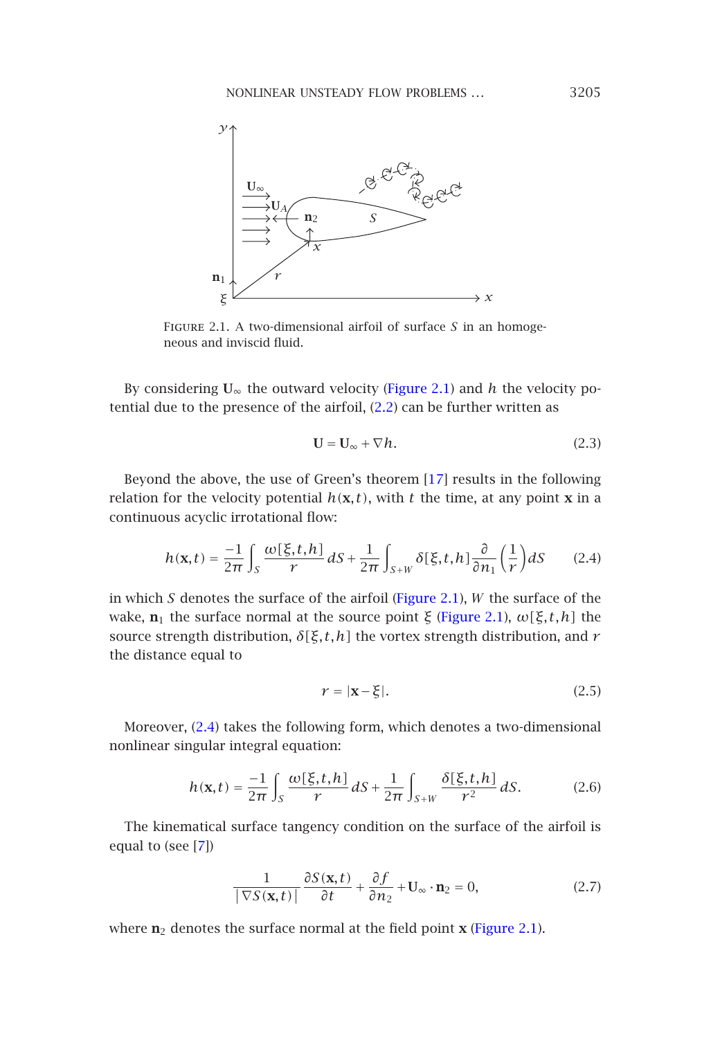<span id="page-2-0"></span>

Figure 2.1. A two-dimensional airfoil of surface *<sup>S</sup>* in an homogeneous and inviscid fluid.

By considering  $U_{\infty}$  the outward velocity (Figure 2.1) and *h* the velocity potential due to the presence of the airfoil, (2.2) can be further written as

<span id="page-2-1"></span>
$$
\mathbf{U} = \mathbf{U}_{\infty} + \nabla h. \tag{2.3}
$$

Beyond the above, the use of Green's theorem [17] results in the following relation for the velocity potential  $h(x, t)$ , with  $t$  the time, at any point  $x$  in a continuous acyclic irrotational flow:

$$
h(\mathbf{x},t) = \frac{-1}{2\pi} \int_{S} \frac{\omega[\xi,t,h]}{r} dS + \frac{1}{2\pi} \int_{S+W} \delta[\xi,t,h] \frac{\partial}{\partial n_1} \left(\frac{1}{r}\right) dS \tag{2.4}
$$

in which *S* denotes the surface of the airfoil (Figure 2.1), *W* the surface of the wake,  **the surface normal at the source point** *ξ* **(Figure 2.1),**  $ω[ξ, t, h]$  **the** source strength distribution,  $\delta[\xi, t, h]$  the vortex strength distribution, and *r* the distance equal to

<span id="page-2-3"></span><span id="page-2-2"></span>
$$
\mathbf{r} = |\mathbf{x} - \xi|.\tag{2.5}
$$

Moreover, (2.4) takes the following form, which denotes a two-dimensional nonlinear singular integral equation:

$$
h(\mathbf{x},t) = \frac{-1}{2\pi} \int_{S} \frac{\omega[\xi,t,h]}{r} dS + \frac{1}{2\pi} \int_{S+W} \frac{\delta[\xi,t,h]}{r^2} dS.
$$
 (2.6)

The kinematical surface tangency condition on the surface of the airfoil is equal to (see [7])

$$
\frac{1}{|\nabla S(\mathbf{x},t)|} \frac{\partial S(\mathbf{x},t)}{\partial t} + \frac{\partial f}{\partial n_2} + \mathbf{U}_{\infty} \cdot \mathbf{n}_2 = 0, \qquad (2.7)
$$

where **n**<sub>2</sub> denotes the surface normal at the field point **x** (Figure 2.1).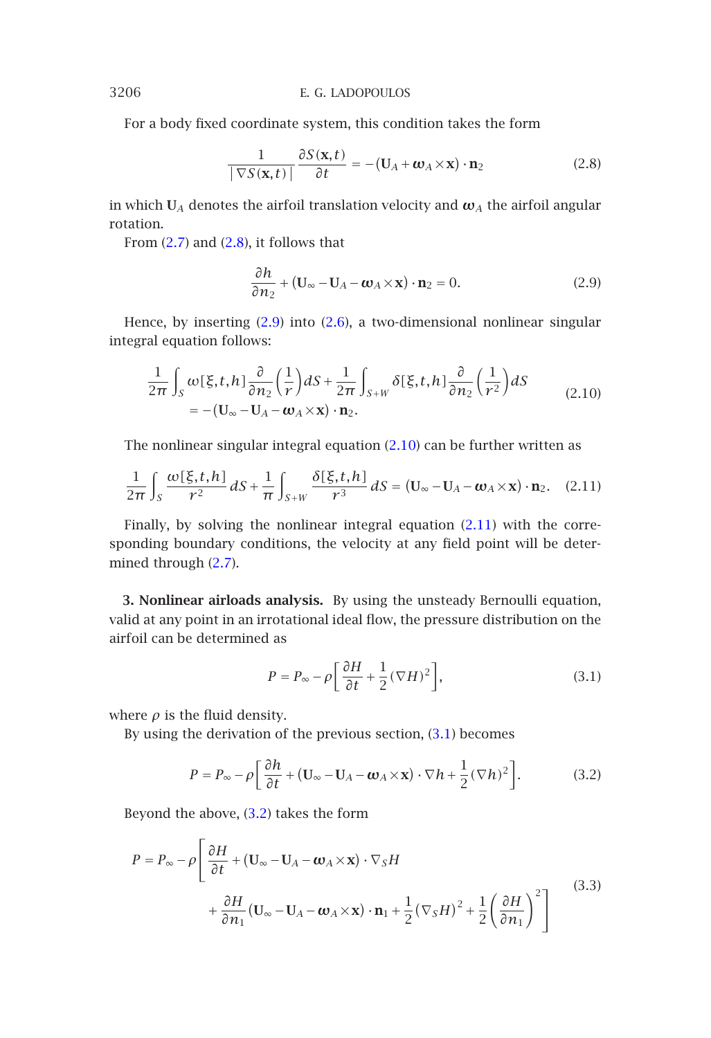<span id="page-3-1"></span>For a body fixed coordinate system, this condition takes the form

<span id="page-3-0"></span>
$$
\frac{1}{|\nabla S(\mathbf{x},t)|} \frac{\partial S(\mathbf{x},t)}{\partial t} = -(\mathbf{U}_A + \boldsymbol{\omega}_A \times \mathbf{x}) \cdot \mathbf{n}_2
$$
 (2.8)

in which  $U_A$  denotes the airfoil translation velocity and  $\omega_A$  the airfoil angular rotation.

From  $(2.7)$  and  $(2.8)$ , it follows that

<span id="page-3-2"></span>
$$
\frac{\partial h}{\partial n_2} + (\mathbf{U}_{\infty} - \mathbf{U}_A - \mathbf{w}_A \times \mathbf{x}) \cdot \mathbf{n}_2 = 0.
$$
 (2.9)

Hence, by inserting (2.9) into (2.6), a two-dimensional nonlinear singular integral equation follows:

$$
\frac{1}{2\pi} \int_{S} \omega[\xi, t, h] \frac{\partial}{\partial n_{2}} \left(\frac{1}{r}\right) dS + \frac{1}{2\pi} \int_{S+W} \delta[\xi, t, h] \frac{\partial}{\partial n_{2}} \left(\frac{1}{r^{2}}\right) dS \n= -(U_{\infty} - U_{A} - \omega_{A} \times \mathbf{x}) \cdot \mathbf{n}_{2}.
$$
\n(2.10)

The nonlinear singular integral equation  $(2.10)$  can be further written as

$$
\frac{1}{2\pi} \int_{S} \frac{\omega[\xi, t, h]}{r^2} dS + \frac{1}{\pi} \int_{S+W} \frac{\delta[\xi, t, h]}{r^3} dS = (\mathbf{U}_{\infty} - \mathbf{U}_{A} - \boldsymbol{\omega}_{A} \times \mathbf{x}) \cdot \mathbf{n}_{2}.
$$
 (2.11)

Finally, by solving the nonlinear integral equation (2.11) with the corresponding boundary conditions, the velocity at any field point will be determined through (2.7).

**3. Nonlinear airloads analysis.** By using the unsteady Bernoulli equation, valid at any point in an irrotational ideal flow, the pressure distribution on the airfoil can be determi[ned](#page-3-3) as

<span id="page-3-3"></span>
$$
P = P_{\infty} - \rho \left[ \frac{\partial H}{\partial t} + \frac{1}{2} (\nabla H)^2 \right],
$$
 (3.1)

where  $\rho$  is the fluid density.

By using the derivation of the previous section, (3.1) becomes

$$
P = P_{\infty} - \rho \left[ \frac{\partial h}{\partial t} + (\mathbf{U}_{\infty} - \mathbf{U}_{A} - \boldsymbol{\omega}_{A} \times \mathbf{x}) \cdot \nabla h + \frac{1}{2} (\nabla h)^{2} \right].
$$
 (3.2)

Beyond the above, (3.2) takes the form

$$
P = P_{\infty} - \rho \left[ \frac{\partial H}{\partial t} + (\mathbf{U}_{\infty} - \mathbf{U}_{A} - \boldsymbol{\omega}_{A} \times \mathbf{x}) \cdot \nabla_{S} H \right. \\
\left. + \frac{\partial H}{\partial n_{1}} (\mathbf{U}_{\infty} - \mathbf{U}_{A} - \boldsymbol{\omega}_{A} \times \mathbf{x}) \cdot \mathbf{n}_{1} + \frac{1}{2} (\nabla_{S} H)^{2} + \frac{1}{2} \left( \frac{\partial H}{\partial n_{1}} \right)^{2} \right]
$$
\n(3.3)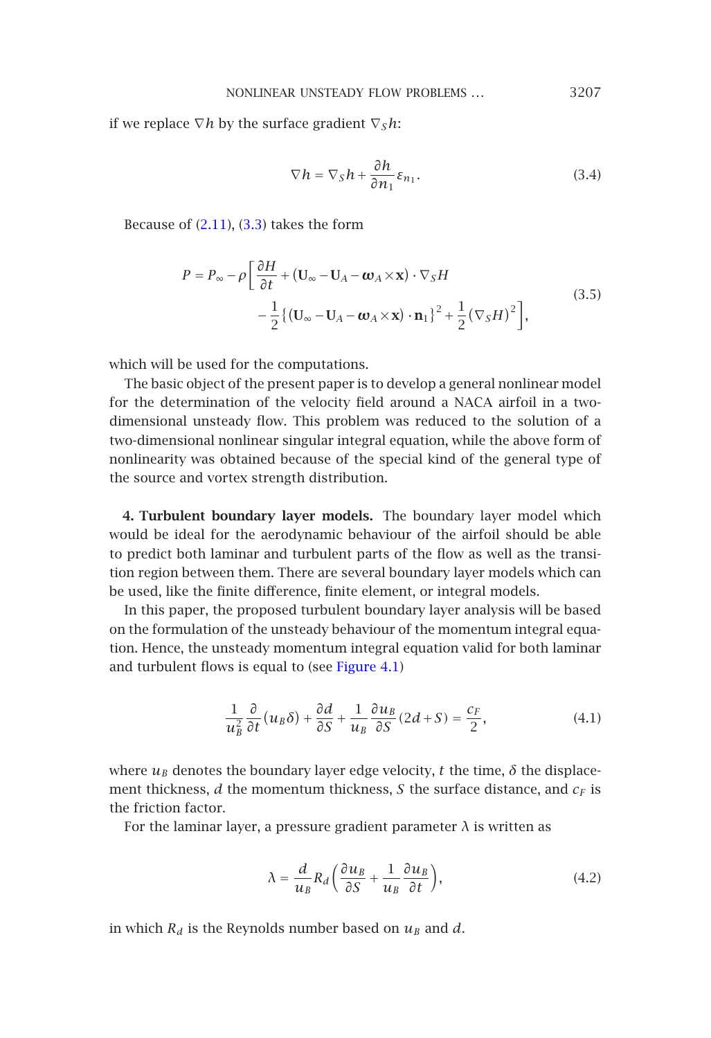NONLINEAR UNSTEADY FLOW PROBLEMS *...* 3207

if we replace <sup>∇</sup>*<sup>h</sup>* by the surface gradient <sup>∇</sup>*Sh*:

$$
\nabla h = \nabla_S h + \frac{\partial h}{\partial n_1} \varepsilon_{n_1}.
$$
 (3.4)

Because of  $(2.11)$ ,  $(3.3)$  takes the form

$$
P = P_{\infty} - \rho \left[ \frac{\partial H}{\partial t} + (\mathbf{U}_{\infty} - \mathbf{U}_{A} - \boldsymbol{\omega}_{A} \times \mathbf{x}) \cdot \nabla_{S} H - \frac{1}{2} \{ (\mathbf{U}_{\infty} - \mathbf{U}_{A} - \boldsymbol{\omega}_{A} \times \mathbf{x}) \cdot \mathbf{n}_{1} \}^{2} + \frac{1}{2} (\nabla_{S} H)^{2} \right],
$$
(3.5)

which will be used for the computations.

The basic object of the present paper is to develop a general nonlinear model for the determination of the velocity field around a NACA airfoil in a twodimensional unsteady flow. This problem was reduced to the solution of a two-dimensional nonlinear singular integral equation, while the above form of nonlinearity was obtained because of the special kind of the general type of the source and vortex strength distribution.

**4. Turbulent boundary layer m[odels.](#page-5-0)** The boundary layer model which would be ideal for the aerodynamic behaviour of the airfoil should be able to predict both laminar and turbulent parts of the flow as well as the transition region between them. There are several boundary layer models which can be used, like the finite difference, finite element, or integral models.

In this paper, the proposed turbulent boundary layer analysis will be based on the formulation of the unsteady behaviour of the momentum integral equation. Hence, the unsteady momentum integral equation valid for both laminar and turbulent flows is equal to (see Figure 4.1)

$$
\frac{1}{u_B^2} \frac{\partial}{\partial t} (u_B \delta) + \frac{\partial d}{\partial S} + \frac{1}{u_B} \frac{\partial u_B}{\partial S} (2d + S) = \frac{c_F}{2},
$$
\n(4.1)

where  $u_B$  denotes the boundary layer edge velocity, *t* the time,  $\delta$  the displacement thickness, *d* the momentum thickness, *S* the surface distance, and  $c_F$  is the friction factor.

For the laminar layer, a pressure gradient parameter  $\lambda$  is written as

$$
\lambda = \frac{d}{u_B} R_d \left( \frac{\partial u_B}{\partial S} + \frac{1}{u_B} \frac{\partial u_B}{\partial t} \right),\tag{4.2}
$$

in which  $R_d$  is the Reynolds number based on  $u_B$  and  $d$ .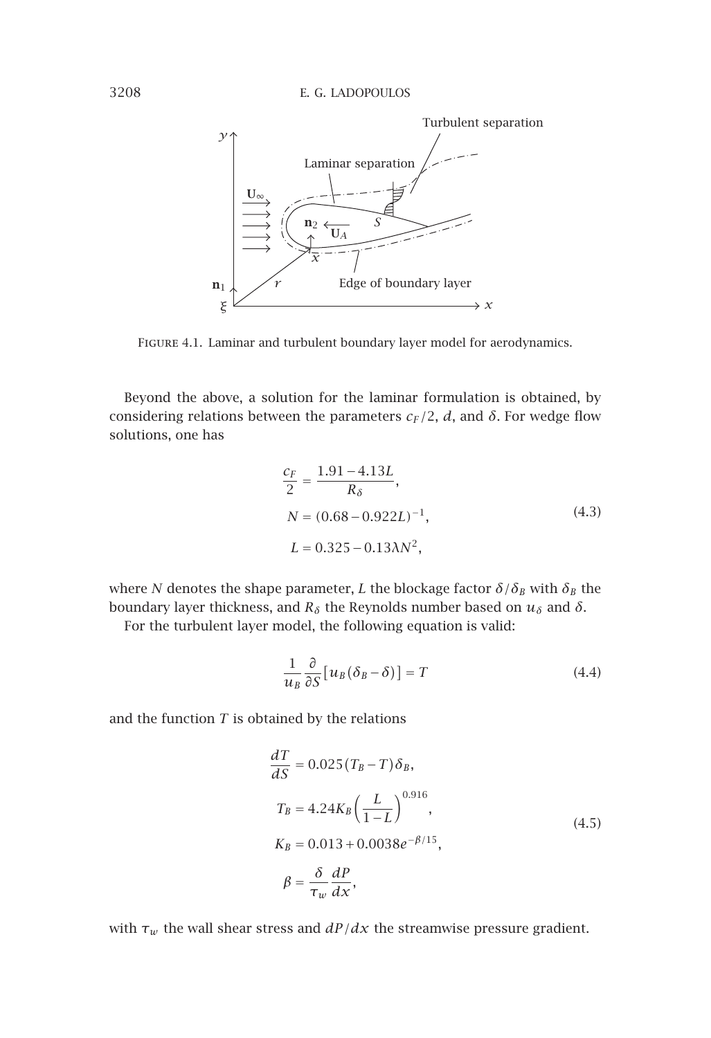

<span id="page-5-0"></span>FIGURE 4.1. Laminar and turbulent boundary layer model for aerodynamics.

Beyond the above, a solution for the laminar formulation is obtained, by considering relations between the parameters  $c_F/2$ , *d*, and  $\delta$ . For wedge flow solutions, one has

$$
\frac{c_F}{2} = \frac{1.91 - 4.13L}{R_{\delta}},
$$
  
\n
$$
N = (0.68 - 0.922L)^{-1},
$$
  
\n
$$
L = 0.325 - 0.13\lambda N^2,
$$
\n(4.3)

where *N* denotes the shape parameter, *L* the blockage factor  $\delta/\delta_B$  with  $\delta_B$  the boundary layer thickness, and  $R_\delta$  the Reynolds number based on  $u_\delta$  and  $\delta$ .

For the turbulent layer model, the following equation is valid:

$$
\frac{1}{u_B} \frac{\partial}{\partial S} \left[ u_B (\delta_B - \delta) \right] = T \tag{4.4}
$$

and the function *T* is obtained by the relations

$$
\frac{dT}{dS} = 0.025(T_B - T)\delta_B,
$$
  
\n
$$
T_B = 4.24K_B \left(\frac{L}{1 - L}\right)^{0.916},
$$
  
\n
$$
K_B = 0.013 + 0.0038e^{-\beta/15},
$$
  
\n
$$
\beta = \frac{\delta}{\tau_w} \frac{dP}{dx},
$$
\n(4.5)

with  $\tau_w$  the wall shear stress and  $dP/dx$  the streamwise pressure gradient.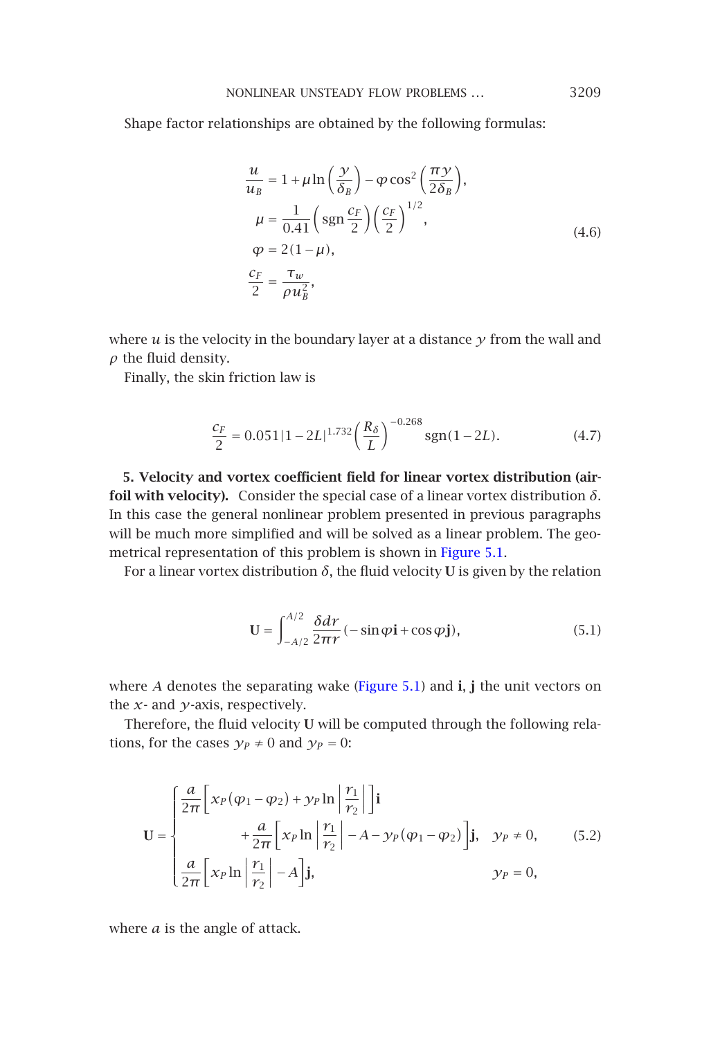### NONLINEAR UNSTEADY FLOW PROBLEMS *...* 3209

Shape factor relationships are obtained by the following formulas:

$$
\frac{u}{u_B} = 1 + \mu \ln \left( \frac{y}{\delta_B} \right) - \varphi \cos^2 \left( \frac{\pi y}{2 \delta_B} \right),
$$
  
\n
$$
\mu = \frac{1}{0.41} \left( \operatorname{sgn} \frac{c_F}{2} \right) \left( \frac{c_F}{2} \right)^{1/2},
$$
  
\n
$$
\varphi = 2(1 - \mu),
$$
  
\n
$$
\frac{c_F}{2} = \frac{\tau_w}{\rho u_B^2},
$$
\n(4.6)

where  $u$  is the velocity in the boundary layer at a distance  $y$  from the wall and  $\rho$  the fluid density.

Finally, the skin friction law is

$$
\frac{c_F}{2} = 0.051|1 - 2L|^{1.732} \left(\frac{R_\delta}{L}\right)^{-0.268} \text{sgn}(1 - 2L). \tag{4.7}
$$

**5. Velocity and vortex coefficient field for linear vortex distribution (airfoil with velocity).** Consider the special case of a linear vortex distribution *δ*. In this case the general nonlinear pro[blem presen](#page-7-0)ted in previous paragraphs will be much more simplified and will be solved as a linear problem. The geometrical representation of this problem is shown in Figure 5.1.

For a linear vortex distribution *δ*, the fluid velocity **U** is given by the relation

<span id="page-6-0"></span>
$$
\mathbf{U} = \int_{-A/2}^{A/2} \frac{\delta dr}{2\pi r} (-\sin \varphi \mathbf{i} + \cos \varphi \mathbf{j}), \tag{5.1}
$$

where *A* denotes the separating wake (Figure 5.1) and **i**, **j** the unit vectors on the  $x$ - and  $y$ -axis, respectively.

Therefore, the fluid velocity **U** will be computed through the following relations, for the cases  $y_P \neq 0$  and  $y_P = 0$ :

$$
\mathbf{U} = \begin{cases} \frac{a}{2\pi} \left[ x_p (\varphi_1 - \varphi_2) + y_p \ln \left| \frac{r_1}{r_2} \right| \right] \mathbf{i} \\ + \frac{a}{2\pi} \left[ x_p \ln \left| \frac{r_1}{r_2} \right| - A - y_p (\varphi_1 - \varphi_2) \right] \mathbf{j}, & y_p \neq 0, \quad (5.2) \\ \frac{a}{2\pi} \left[ x_p \ln \left| \frac{r_1}{r_2} \right| - A \right] \mathbf{j}, & y_p = 0, \end{cases}
$$

where *a* is the angle of attack.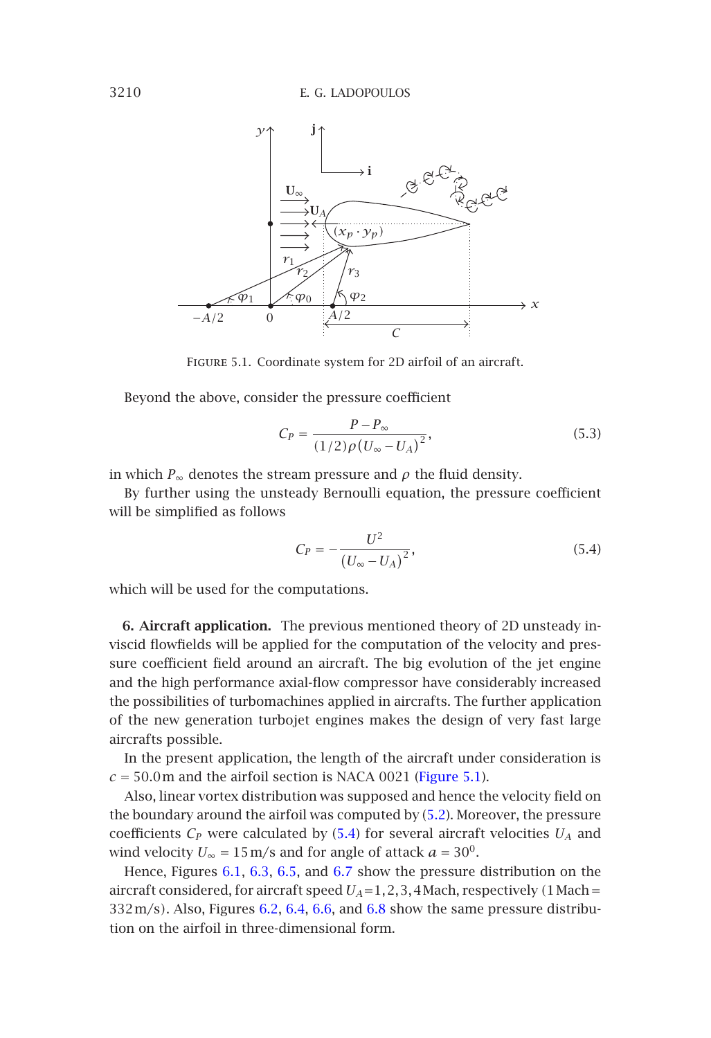<span id="page-7-0"></span>

Figure 5.1. Coordinate system for 2D airfoil of an aircraft.

Beyond the above, consider the pressure coefficient

<span id="page-7-1"></span>
$$
C_P = \frac{P - P_{\infty}}{(1/2)\rho (U_{\infty} - U_A)^2},
$$
\n(5.3)

in which  $P_{\infty}$  denotes the stream pressure and  $\rho$  the fluid density.

By further using the unsteady Bernoulli equation, the pressure coefficient will be simplified as follows

$$
C_P = -\frac{U^2}{(U_{\infty} - U_A)^2},\tag{5.4}
$$

which will be used for the computations.

**6. Aircraft application.** The previous mentio[ned](#page-7-0) [theory](#page-7-0) of 2D unsteady inviscid flowfields will be applied for the computat[ion o](#page-6-0)f the velocity and pressure coefficient field around an air[craf](#page-7-1)t. The big evolution of the jet engine and the high performance axial-flow compressor have considerably increased the possibilities [of tur](#page-8-0)[bom](#page-9-0)[ach](#page-10-0)ines [appl](#page-11-0)ied in aircrafts. The further application of the new generation turbojet engines makes the design of very fast large aircrafts possible.

In the present application, the length of the aircraft under consideration is  $c = 50.0$ m and the airfoil section is NACA 0021 (Figure 5.1).

Also, linear vortex distribution was supposed and hence the velocity field on the boundary around the airfoil was computed by (5.2). Moreover, the pressure coefficients  $C_P$  were calculated by  $(5.4)$  for several aircraft velocities  $U_A$  and wind velocity  $U_{\infty} = 15 \text{ m/s}$  and for angle of attack  $a = 30^0$ .

Hence, Figures 6.1, 6.3, 6.5, and 6.7 show the pressure distribution on the aircraft considered, for aircraft speed  $U_A$ =1,2,3,4Mach, respectively (1Mach = 332m/s*)*. Also, Figures 6.2, 6.4, 6.6, and 6.8 show the same pressure distribution on the airfoil in three-dimensional form.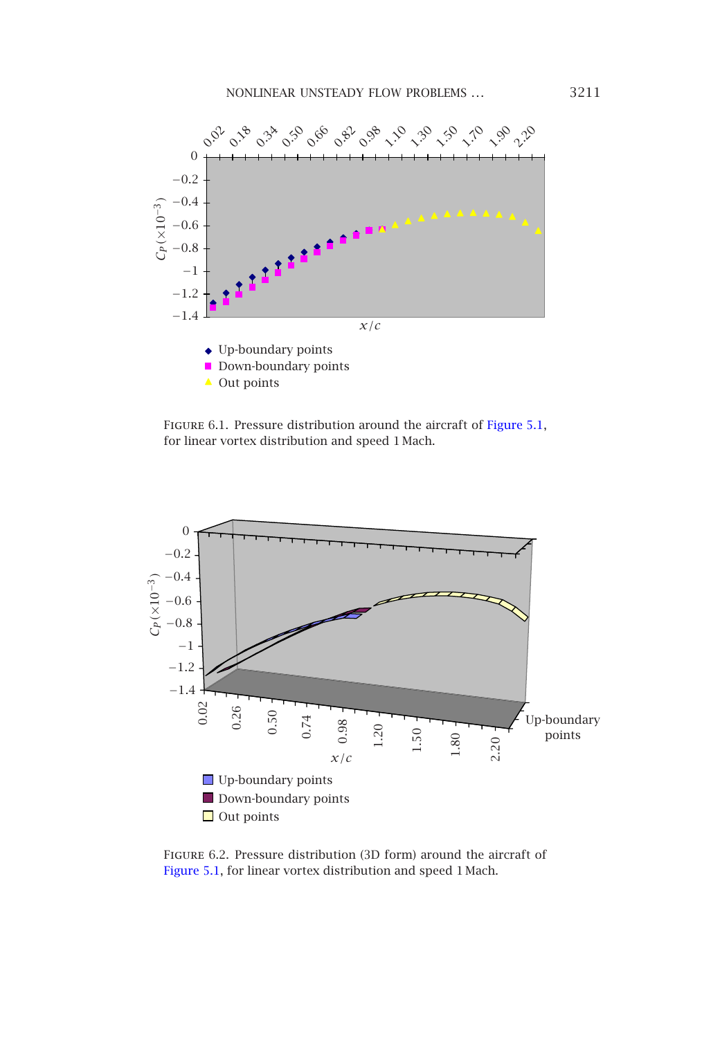

<span id="page-8-0"></span>Figure 6.1. Pressure distribution around the aircraft of Figure 5.1, for linear vortex distribution and speed 1 Mach.



Figure 6.2. Pressure distribution (3D form) around the aircraft of Figure 5.1, for linear vortex distribution and speed 1 Mach.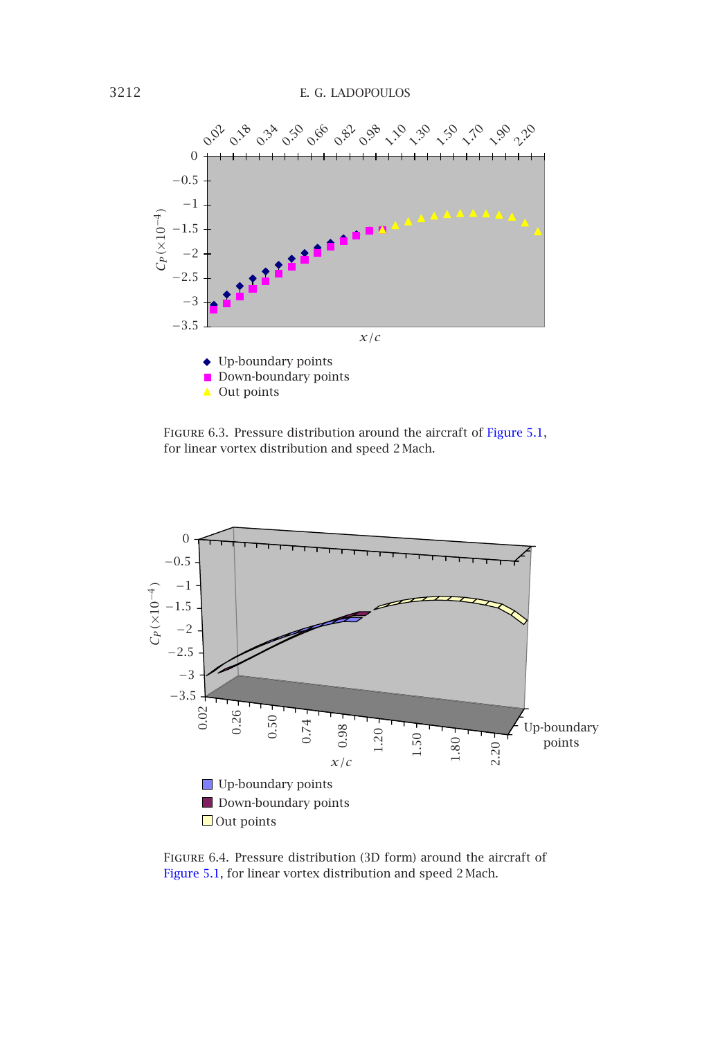

<span id="page-9-0"></span>Figure 6.3. Pressure distribution around the aircraft of Figure 5.1, for linear vortex distribution and speed 2 Mach.



Figure 6.4. Pressure distribution (3D form) around the aircraft of Figure 5.1, for linear vortex distribution and speed 2 Mach.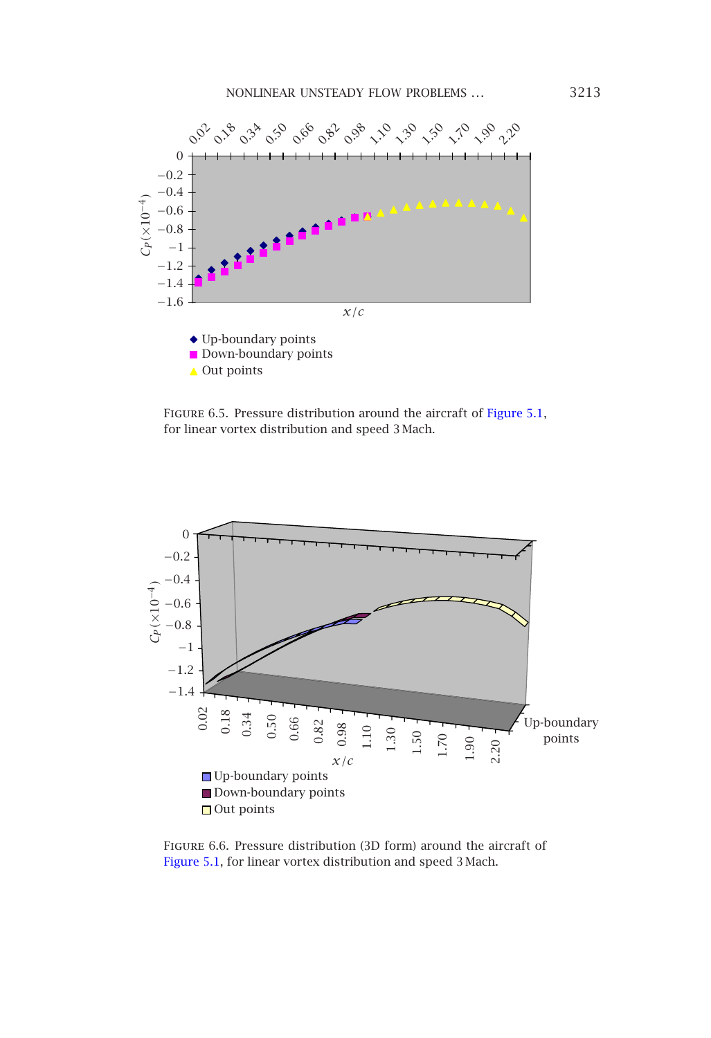

<span id="page-10-0"></span>Figure 6.5. Pressure distribution around the aircraft of Figure 5.1, for linear vortex distribution and speed 3 Mach.



Figure 6.6. Pressure distribution (3D form) around the aircraft of Figure 5.1, for linear vortex distribution and speed 3 Mach.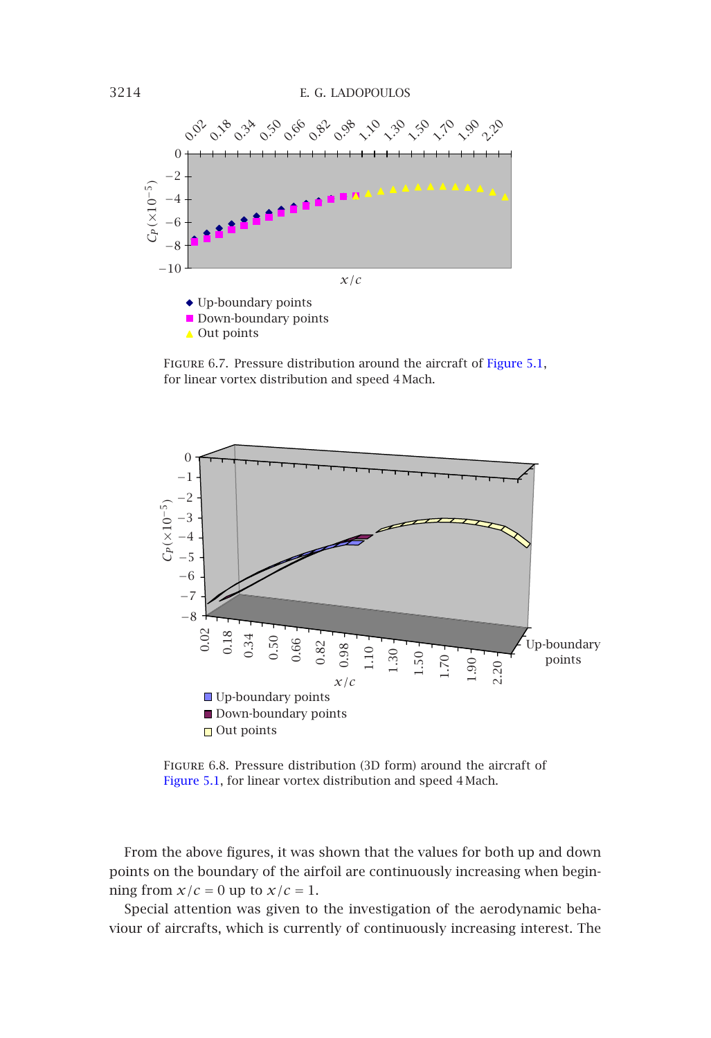

Figure 6.7. Pressure distribution around the aircraft of Figure 5.1, for linear vortex distribution and speed 4 Mach.



Figure 6.8. Pressure distribution (3D form) around the aircraft of Figure 5.1, for linear vortex distribution and speed 4 Mach.

From the above figures, it was shown that the values for both up and down points on the boundary of the airfoil are continuously increasing when beginning from  $x/c = 0$  up to  $x/c = 1$ .

Special attention was given to the investigation of the aerodynamic behaviour of aircrafts, which is currently of continuously increasing interest. The

<span id="page-11-0"></span>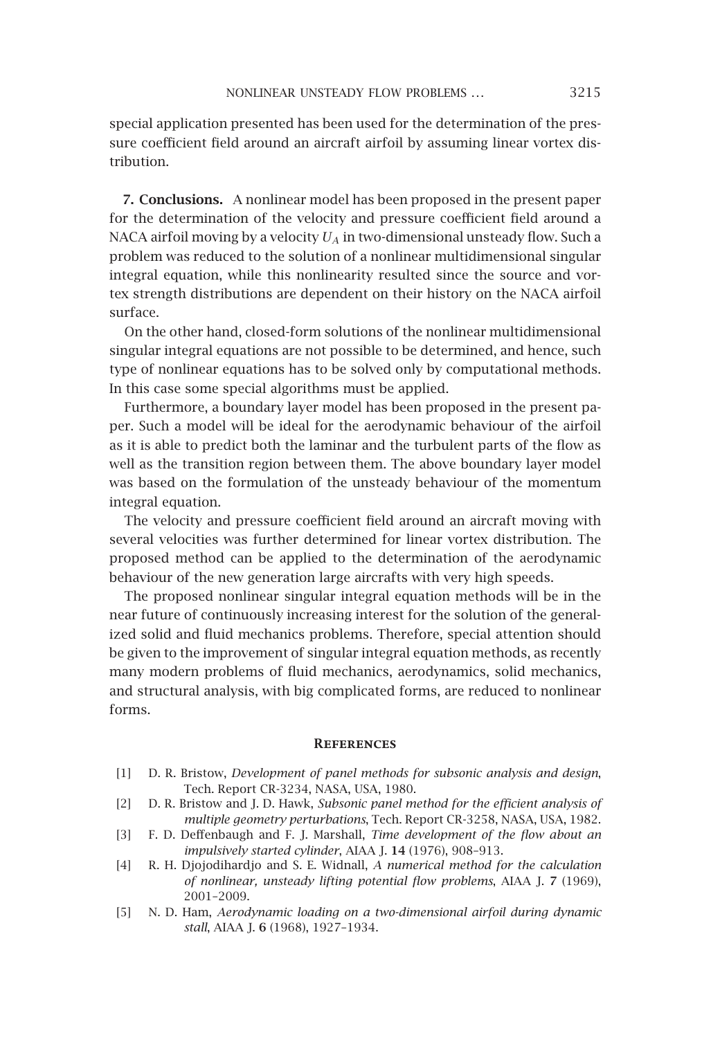special application presented has been used for the determination of the pressure coefficient field around an aircraft airfoil by assuming linear vortex distribution.

**7. Conclusions.** A nonlinear model has been proposed in the present paper for the determination of the velocity and pressure coefficient field around a NACA airfoil moving by a velocity  $U_A$  in two-dimensional unsteady flow. Such a problem was reduced to the solution of a nonlinear multidimensional singular integral equation, while this nonlinearity resulted since the source and vortex strength distributions are dependent on their history on the NACA airfoil surface.

On the other hand, closed-form solutions of the nonlinear multidimensional singular integral equations are not possible to be determined, and hence, such type of nonlinear equations has to be solved only by computational methods. In this case some special algorithms must be applied.

Furthermore, a boundary layer model has been proposed in the present paper. Such a model will be ideal for the aerodynamic behaviour of the airfoil as it is able to predict both the laminar and the turbulent parts of the flow as well as the transition region between them. The above boundary layer model was based on the formulation of the unsteady behaviour of the momentum integral equation.

The velocity and pressure coefficient field around an aircraft moving with several velocities was further determined for linear vortex distribution. The proposed method can be applied to the determination of the aerodynamic behaviour of the new generation large aircrafts with very high speeds.

The proposed nonlinear singular integral equation methods will be in the near future of continuously increasing interest for the solution of the generalized solid and fluid mechanics problems. Therefore, special attention should be given to the improvement of singular integral equation methods, as recently many modern problems of fluid mechanics, aerodynamics, solid mechanics, and structural analysis, with big complicated forms, are reduced to nonlinear forms.

#### **References**

- [1] D. R. Bristow, *Development of panel methods for subsonic analysis and design*, Tech. Report CR-3234, NASA, USA, 1980.
- [2] D. R. Bristow and J. D. Hawk, *Subsonic panel method for the efficient analysis of multiple geometry perturbations*, Tech. Report CR-3258, NASA, USA, 1982.
- <span id="page-12-1"></span>[3] F. D. Deffenbaugh and F. J. Marshall, *Time development of the flow about an impulsively started cylinder*, AIAA J. **14** (1976), 908–913.
- [4] R. H. Djojodihardjo and S. E. Widnall, *A numerical method for the calculation of nonlinear, unsteady lifting potential flow problems*, AIAA J. **7** (1969), 2001–2009.
- <span id="page-12-0"></span>[5] N. D. Ham, *Aerodynamic loading on a two-dimensional airfoil during dynamic stall*, AIAA J. **6** (1968), 1927–1934.